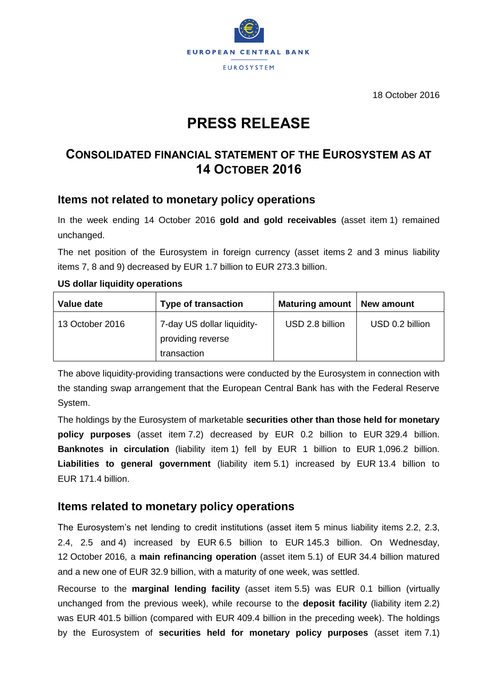

18 October 2016

# **PRESS RELEASE**

## **CONSOLIDATED FINANCIAL STATEMENT OF THE EUROSYSTEM AS AT 14 OCTOBER 2016**

## **Items not related to monetary policy operations**

In the week ending 14 October 2016 **gold and gold receivables** (asset item 1) remained unchanged.

The net position of the Eurosystem in foreign currency (asset items 2 and 3 minus liability items 7, 8 and 9) decreased by EUR 1.7 billion to EUR 273.3 billion.

#### **US dollar liquidity operations**

| Value date      | <b>Type of transaction</b>                                     | <b>Maturing amount</b> | New amount      |
|-----------------|----------------------------------------------------------------|------------------------|-----------------|
| 13 October 2016 | 7-day US dollar liquidity-<br>providing reverse<br>transaction | USD 2.8 billion        | USD 0.2 billion |

The above liquidity-providing transactions were conducted by the Eurosystem in connection with the standing swap arrangement that the European Central Bank has with the Federal Reserve System.

The holdings by the Eurosystem of marketable **securities other than those held for monetary policy purposes** (asset item 7.2) decreased by EUR 0.2 billion to EUR 329.4 billion. **Banknotes in circulation** (liability item 1) fell by EUR 1 billion to EUR 1,096.2 billion. **Liabilities to general government** (liability item 5.1) increased by EUR 13.4 billion to EUR 171.4 billion.

## **Items related to monetary policy operations**

The Eurosystem's net lending to credit institutions (asset item 5 minus liability items 2.2, 2.3, 2.4, 2.5 and 4) increased by EUR 6.5 billion to EUR 145.3 billion. On Wednesday, 12 October 2016, a **main refinancing operation** (asset item 5.1) of EUR 34.4 billion matured and a new one of EUR 32.9 billion, with a maturity of one week, was settled.

Recourse to the **marginal lending facility** (asset item 5.5) was EUR 0.1 billion (virtually unchanged from the previous week), while recourse to the **deposit facility** (liability item 2.2) was EUR 401.5 billion (compared with EUR 409.4 billion in the preceding week). The holdings by the Eurosystem of **securities held for monetary policy purposes** (asset item 7.1)